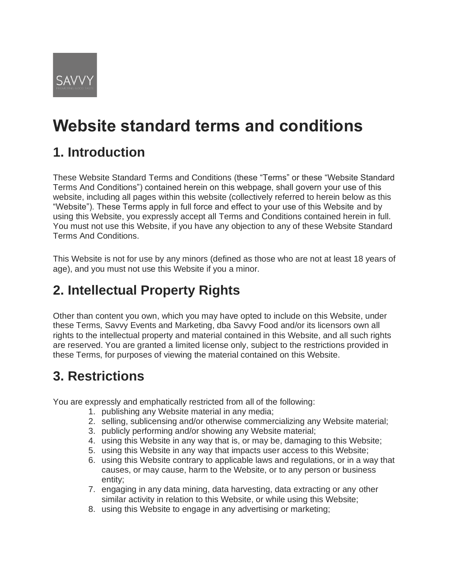

# **Website standard terms and conditions**

### **1. Introduction**

These Website Standard Terms and Conditions (these "Terms" or these "Website Standard Terms And Conditions") contained herein on this webpage, shall govern your use of this website, including all pages within this website (collectively referred to herein below as this "Website"). These Terms apply in full force and effect to your use of this Website and by using this Website, you expressly accept all Terms and Conditions contained herein in full. You must not use this Website, if you have any objection to any of these Website Standard Terms And Conditions.

This Website is not for use by any minors (defined as those who are not at least 18 years of age), and you must not use this Website if you a minor.

### **2. Intellectual Property Rights**

Other than content you own, which you may have opted to include on this Website, under these Terms, Savvy Events and Marketing, dba Savvy Food and/or its licensors own all rights to the intellectual property and material contained in this Website, and all such rights are reserved. You are granted a limited license only, subject to the restrictions provided in these Terms, for purposes of viewing the material contained on this Website.

### **3. Restrictions**

You are expressly and emphatically restricted from all of the following:

- 1. publishing any Website material in any media;
- 2. selling, sublicensing and/or otherwise commercializing any Website material;
- 3. publicly performing and/or showing any Website material;
- 4. using this Website in any way that is, or may be, damaging to this Website;
- 5. using this Website in any way that impacts user access to this Website;
- 6. using this Website contrary to applicable laws and regulations, or in a way that causes, or may cause, harm to the Website, or to any person or business entity;
- 7. engaging in any data mining, data harvesting, data extracting or any other similar activity in relation to this Website, or while using this Website;
- 8. using this Website to engage in any advertising or marketing;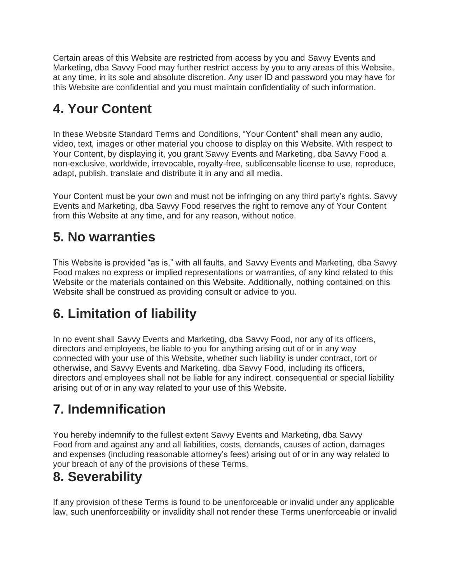Certain areas of this Website are restricted from access by you and Savvy Events and Marketing, dba Savvy Food may further restrict access by you to any areas of this Website, at any time, in its sole and absolute discretion. Any user ID and password you may have for this Website are confidential and you must maintain confidentiality of such information.

### **4. Your Content**

In these Website Standard Terms and Conditions, "Your Content" shall mean any audio, video, text, images or other material you choose to display on this Website. With respect to Your Content, by displaying it, you grant Savvy Events and Marketing, dba Savvy Food a non-exclusive, worldwide, irrevocable, royalty-free, sublicensable license to use, reproduce, adapt, publish, translate and distribute it in any and all media.

Your Content must be your own and must not be infringing on any third party's rights. Savvy Events and Marketing, dba Savvy Food reserves the right to remove any of Your Content from this Website at any time, and for any reason, without notice.

### **5. No warranties**

This Website is provided "as is," with all faults, and Savvy Events and Marketing, dba Savvy Food makes no express or implied representations or warranties, of any kind related to this Website or the materials contained on this Website. Additionally, nothing contained on this Website shall be construed as providing consult or advice to you.

## **6. Limitation of liability**

In no event shall Savvy Events and Marketing, dba Savvy Food, nor any of its officers, directors and employees, be liable to you for anything arising out of or in any way connected with your use of this Website, whether such liability is under contract, tort or otherwise, and Savvy Events and Marketing, dba Savvy Food, including its officers, directors and employees shall not be liable for any indirect, consequential or special liability arising out of or in any way related to your use of this Website.

## **7. Indemnification**

You hereby indemnify to the fullest extent Savvy Events and Marketing, dba Savvy Food from and against any and all liabilities, costs, demands, causes of action, damages and expenses (including reasonable attorney's fees) arising out of or in any way related to your breach of any of the provisions of these Terms.

## **8. Severability**

If any provision of these Terms is found to be unenforceable or invalid under any applicable law, such unenforceability or invalidity shall not render these Terms unenforceable or invalid